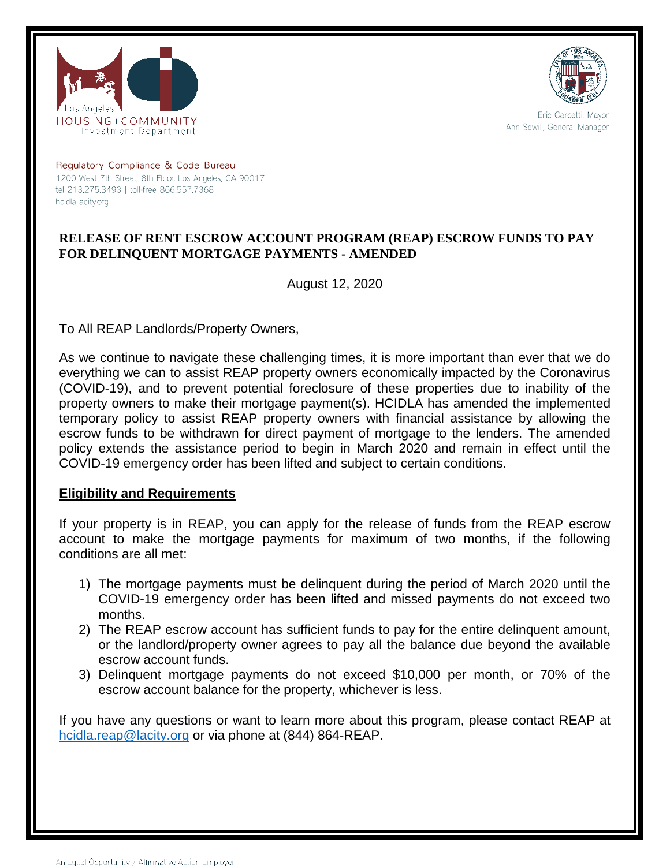



Eric Garcetti, Mayor Ann Sewill, General Manager

Regulatory Compliance & Code Bureau 1200 West 7th Street, 8th Floor, Los Angeles, CA 90017 tel 213.275.3493 | toll-free 866.557.7368 hcidla.lacity.org

# **RELEASE OF RENT ESCROW ACCOUNT PROGRAM (REAP) ESCROW FUNDS TO PAY FOR DELINQUENT MORTGAGE PAYMENTS - AMENDED**

August 12, 2020

To All REAP Landlords/Property Owners,

As we continue to navigate these challenging times, it is more important than ever that we do everything we can to assist REAP property owners economically impacted by the Coronavirus (COVID-19), and to prevent potential foreclosure of these properties due to inability of the property owners to make their mortgage payment(s). HCIDLA has amended the implemented temporary policy to assist REAP property owners with financial assistance by allowing the escrow funds to be withdrawn for direct payment of mortgage to the lenders. The amended policy extends the assistance period to begin in March 2020 and remain in effect until the COVID-19 emergency order has been lifted and subject to certain conditions.

### **Eligibility and Requirements**

If your property is in REAP, you can apply for the release of funds from the REAP escrow account to make the mortgage payments for maximum of two months, if the following conditions are all met:

- 1) The mortgage payments must be delinquent during the period of March 2020 until the COVID-19 emergency order has been lifted and missed payments do not exceed two months.
- 2) The REAP escrow account has sufficient funds to pay for the entire delinquent amount, or the landlord/property owner agrees to pay all the balance due beyond the available escrow account funds.
- 3) Delinquent mortgage payments do not exceed \$10,000 per month, or 70% of the escrow account balance for the property, whichever is less.

If you have any questions or want to learn more about this program, please contact REAP at [hcidla.reap@lacity.org](mailto:hcidla.reap@lacity.org) or via phone at (844) 864-REAP.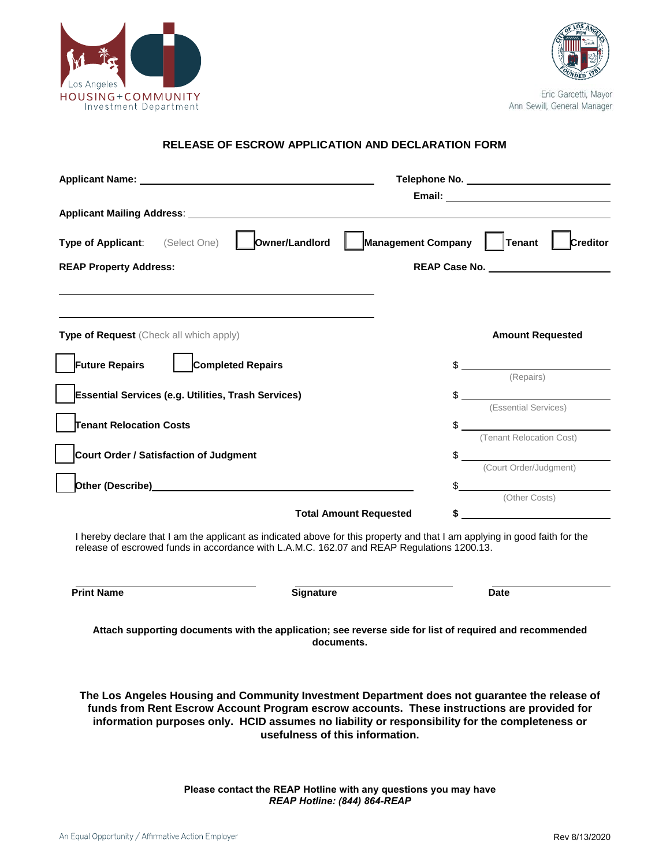



Eric Garcetti, Mayor Ann Sewill, General Manager

### **RELEASE OF ESCROW APPLICATION AND DECLARATION FORM**

| Applicant Name: Name: Name and Applicant Name and Applicant Name and Applicant Manual Applicant Manual Applicant Manual Applicant Manual Applicant Manual Applicant Manual Applicant Manual Applicant Manual Applicant Manual                                                                                                                                                                                                                              |                                                                                                                                                                                                                                                                                                                                                                                                                                   |
|------------------------------------------------------------------------------------------------------------------------------------------------------------------------------------------------------------------------------------------------------------------------------------------------------------------------------------------------------------------------------------------------------------------------------------------------------------|-----------------------------------------------------------------------------------------------------------------------------------------------------------------------------------------------------------------------------------------------------------------------------------------------------------------------------------------------------------------------------------------------------------------------------------|
|                                                                                                                                                                                                                                                                                                                                                                                                                                                            |                                                                                                                                                                                                                                                                                                                                                                                                                                   |
|                                                                                                                                                                                                                                                                                                                                                                                                                                                            |                                                                                                                                                                                                                                                                                                                                                                                                                                   |
| Owner/Landlord<br>Type of Applicant:<br>(Select One)                                                                                                                                                                                                                                                                                                                                                                                                       | <b>Management Company</b><br>$ $ Tenant $ $<br>Creditor                                                                                                                                                                                                                                                                                                                                                                           |
| <b>REAP Property Address:</b>                                                                                                                                                                                                                                                                                                                                                                                                                              |                                                                                                                                                                                                                                                                                                                                                                                                                                   |
|                                                                                                                                                                                                                                                                                                                                                                                                                                                            |                                                                                                                                                                                                                                                                                                                                                                                                                                   |
|                                                                                                                                                                                                                                                                                                                                                                                                                                                            |                                                                                                                                                                                                                                                                                                                                                                                                                                   |
| Type of Request (Check all which apply)                                                                                                                                                                                                                                                                                                                                                                                                                    | <b>Amount Requested</b>                                                                                                                                                                                                                                                                                                                                                                                                           |
| <b>Completed Repairs</b><br><b>Future Repairs</b>                                                                                                                                                                                                                                                                                                                                                                                                          | $\frac{1}{\sqrt{1-\frac{1}{\sqrt{1-\frac{1}{\sqrt{1-\frac{1}{\sqrt{1-\frac{1}{\sqrt{1-\frac{1}{\sqrt{1-\frac{1}{\sqrt{1-\frac{1}{\sqrt{1-\frac{1}{\sqrt{1-\frac{1}{\sqrt{1-\frac{1}{\sqrt{1-\frac{1}{\sqrt{1-\frac{1}{\sqrt{1-\frac{1}{\sqrt{1-\frac{1}{\sqrt{1-\frac{1}{\sqrt{1-\frac{1}{\sqrt{1-\frac{1}{\sqrt{1-\frac{1}{\sqrt{1-\frac{1}{\sqrt{1-\frac{1}{\sqrt{1-\frac{1}{\sqrt{1-\frac{1}{\sqrt{1-\frac{1}{\sqrt{1-\frac{1$ |
|                                                                                                                                                                                                                                                                                                                                                                                                                                                            |                                                                                                                                                                                                                                                                                                                                                                                                                                   |
| <b>Essential Services (e.g. Utilities, Trash Services)</b>                                                                                                                                                                                                                                                                                                                                                                                                 | $\frac{1}{2}$<br>(Essential Services)                                                                                                                                                                                                                                                                                                                                                                                             |
| <b>Tenant Relocation Costs</b>                                                                                                                                                                                                                                                                                                                                                                                                                             | $\frac{1}{2}$                                                                                                                                                                                                                                                                                                                                                                                                                     |
|                                                                                                                                                                                                                                                                                                                                                                                                                                                            | (Tenant Relocation Cost)                                                                                                                                                                                                                                                                                                                                                                                                          |
| Court Order / Satisfaction of Judgment                                                                                                                                                                                                                                                                                                                                                                                                                     | $\frac{1}{2}$<br>(Court Order/Judgment)                                                                                                                                                                                                                                                                                                                                                                                           |
| Other (Describe) Manual According to the Contract of the Contract of the Contract of the Contract of the Contract of the Contract of the Contract of the Contract of the Contract of the Contract of the Contract of the Contr                                                                                                                                                                                                                             | $\frac{1}{2}$                                                                                                                                                                                                                                                                                                                                                                                                                     |
| <b>Total Amount Requested</b>                                                                                                                                                                                                                                                                                                                                                                                                                              | (Other Costs)<br>\$                                                                                                                                                                                                                                                                                                                                                                                                               |
| I hereby declare that I am the applicant as indicated above for this property and that I am applying in good faith for the<br>release of escrowed funds in accordance with L.A.M.C. 162.07 and REAP Regulations 1200.13.                                                                                                                                                                                                                                   |                                                                                                                                                                                                                                                                                                                                                                                                                                   |
| <b>Print Name</b><br>Signature                                                                                                                                                                                                                                                                                                                                                                                                                             | <b>Date</b>                                                                                                                                                                                                                                                                                                                                                                                                                       |
| Attach supporting documents with the application; see reverse side for list of required and recommended<br>documents.<br>The Los Angeles Housing and Community Investment Department does not guarantee the release of<br>funds from Rent Escrow Account Program escrow accounts. These instructions are provided for<br>information purposes only. HCID assumes no liability or responsibility for the completeness or<br>usefulness of this information. |                                                                                                                                                                                                                                                                                                                                                                                                                                   |
| Please contact the REAP Hotline with any questions you may have                                                                                                                                                                                                                                                                                                                                                                                            |                                                                                                                                                                                                                                                                                                                                                                                                                                   |

*REAP Hotline: (844) 864-REAP*